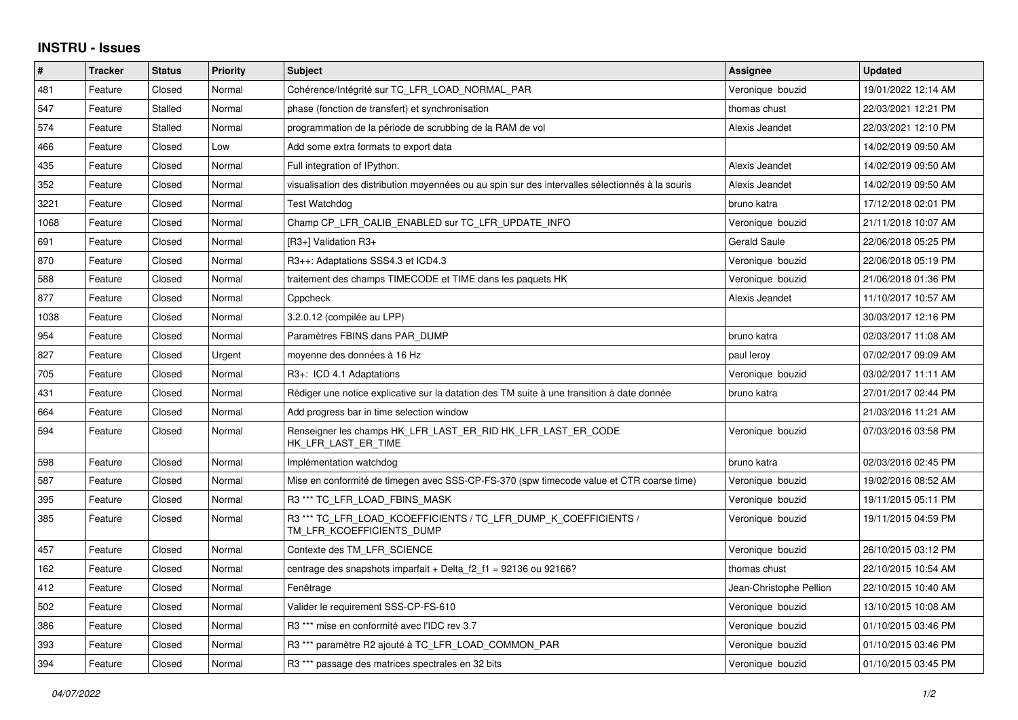## **INSTRU - Issues**

| #    | <b>Tracker</b> | <b>Status</b> | Priority | <b>Subject</b>                                                                                   | Assignee                | <b>Updated</b>      |
|------|----------------|---------------|----------|--------------------------------------------------------------------------------------------------|-------------------------|---------------------|
| 481  | Feature        | Closed        | Normal   | Cohérence/Intégrité sur TC_LFR_LOAD_NORMAL_PAR                                                   | Veronique bouzid        | 19/01/2022 12:14 AM |
| 547  | Feature        | Stalled       | Normal   | phase (fonction de transfert) et synchronisation                                                 | thomas chust            | 22/03/2021 12:21 PM |
| 574  | Feature        | Stalled       | Normal   | programmation de la période de scrubbing de la RAM de vol                                        | Alexis Jeandet          | 22/03/2021 12:10 PM |
| 466  | Feature        | Closed        | Low      | Add some extra formats to export data                                                            |                         | 14/02/2019 09:50 AM |
| 435  | Feature        | Closed        | Normal   | Full integration of IPython.                                                                     | Alexis Jeandet          | 14/02/2019 09:50 AM |
| 352  | Feature        | Closed        | Normal   | visualisation des distribution moyennées ou au spin sur des intervalles sélectionnés à la souris | Alexis Jeandet          | 14/02/2019 09:50 AM |
| 3221 | Feature        | Closed        | Normal   | Test Watchdog                                                                                    | bruno katra             | 17/12/2018 02:01 PM |
| 1068 | Feature        | Closed        | Normal   | Champ CP LFR CALIB ENABLED sur TC LFR UPDATE INFO                                                | Veronique bouzid        | 21/11/2018 10:07 AM |
| 691  | Feature        | Closed        | Normal   | [R3+] Validation R3+                                                                             | <b>Gerald Saule</b>     | 22/06/2018 05:25 PM |
| 870  | Feature        | Closed        | Normal   | R3++: Adaptations SSS4.3 et ICD4.3                                                               | Veronique bouzid        | 22/06/2018 05:19 PM |
| 588  | Feature        | Closed        | Normal   | traitement des champs TIMECODE et TIME dans les paquets HK                                       | Veronique bouzid        | 21/06/2018 01:36 PM |
| 877  | Feature        | Closed        | Normal   | Cppcheck                                                                                         | Alexis Jeandet          | 11/10/2017 10:57 AM |
| 1038 | Feature        | Closed        | Normal   | 3.2.0.12 (compilée au LPP)                                                                       |                         | 30/03/2017 12:16 PM |
| 954  | Feature        | Closed        | Normal   | Paramètres FBINS dans PAR DUMP                                                                   | bruno katra             | 02/03/2017 11:08 AM |
| 827  | Feature        | Closed        | Urgent   | moyenne des données à 16 Hz                                                                      | paul leroy              | 07/02/2017 09:09 AM |
| 705  | Feature        | Closed        | Normal   | R3+: ICD 4.1 Adaptations                                                                         | Veronique bouzid        | 03/02/2017 11:11 AM |
| 431  | Feature        | Closed        | Normal   | Rédiger une notice explicative sur la datation des TM suite à une transition à date donnée       | bruno katra             | 27/01/2017 02:44 PM |
| 664  | Feature        | Closed        | Normal   | Add progress bar in time selection window                                                        |                         | 21/03/2016 11:21 AM |
| 594  | Feature        | Closed        | Normal   | Renseigner les champs HK LFR LAST ER RID HK LFR LAST ER CODE<br>HK LFR LAST ER TIME              | Veronique bouzid        | 07/03/2016 03:58 PM |
| 598  | Feature        | Closed        | Normal   | Implémentation watchdog                                                                          | bruno katra             | 02/03/2016 02:45 PM |
| 587  | Feature        | Closed        | Normal   | Mise en conformité de timegen avec SSS-CP-FS-370 (spw timecode value et CTR coarse time)         | Veronique bouzid        | 19/02/2016 08:52 AM |
| 395  | Feature        | Closed        | Normal   | R3 *** TC LFR LOAD FBINS MASK                                                                    | Veronique bouzid        | 19/11/2015 05:11 PM |
| 385  | Feature        | Closed        | Normal   | R3 *** TC_LFR_LOAD_KCOEFFICIENTS / TC_LFR_DUMP_K_COEFFICIENTS /<br>TM_LFR_KCOEFFICIENTS_DUMP     | Veronique bouzid        | 19/11/2015 04:59 PM |
| 457  | Feature        | Closed        | Normal   | Contexte des TM LFR SCIENCE                                                                      | Veronique bouzid        | 26/10/2015 03:12 PM |
| 162  | Feature        | Closed        | Normal   | centrage des snapshots imparfait + Delta f2 f1 = 92136 ou 92166?                                 | thomas chust            | 22/10/2015 10:54 AM |
| 412  | Feature        | Closed        | Normal   | Fenêtrage                                                                                        | Jean-Christophe Pellion | 22/10/2015 10:40 AM |
| 502  | Feature        | Closed        | Normal   | Valider le requirement SSS-CP-FS-610                                                             | Veronique bouzid        | 13/10/2015 10:08 AM |
| 386  | Feature        | Closed        | Normal   | R3 *** mise en conformité avec l'IDC rev 3.7                                                     | Veronique bouzid        | 01/10/2015 03:46 PM |
| 393  | Feature        | Closed        | Normal   | R3 *** paramètre R2 ajouté à TC_LFR_LOAD_COMMON_PAR                                              | Veronique bouzid        | 01/10/2015 03:46 PM |
| 394  | Feature        | Closed        | Normal   | R3 *** passage des matrices spectrales en 32 bits                                                | Veronique bouzid        | 01/10/2015 03:45 PM |